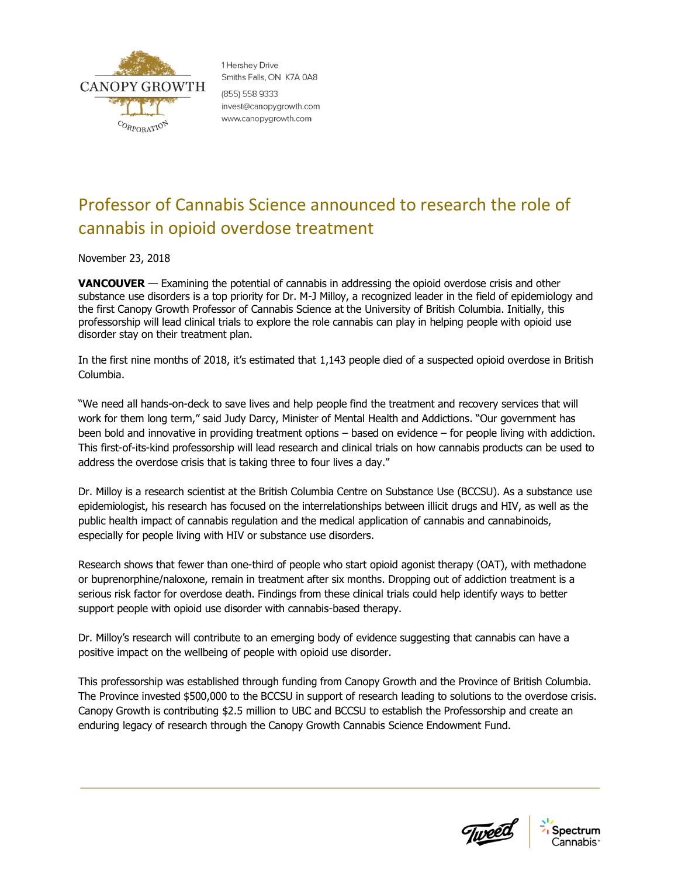

1 Hershev Drive Smiths Falls, ON K7A 0A8 (855) 558 9333 invest@canopygrowth.com www.canopygrowth.com

# Professor of Cannabis Science announced to research the role of cannabis in opioid overdose treatment

November 23, 2018

**VANCOUVER** — Examining the potential of cannabis in addressing the opioid overdose crisis and other substance use disorders is a top priority for Dr. M-J Milloy, a recognized leader in the field of epidemiology and the first Canopy Growth Professor of Cannabis Science at the University of British Columbia. Initially, this professorship will lead clinical trials to explore the role cannabis can play in helping people with opioid use disorder stay on their treatment plan.

In the first nine months of 2018, it's estimated that 1,143 people died of a suspected opioid overdose in British Columbia.

"We need all hands-on-deck to save lives and help people find the treatment and recovery services that will work for them long term," said Judy Darcy, Minister of Mental Health and Addictions. "Our government has been bold and innovative in providing treatment options – based on evidence – for people living with addiction. This first-of-its-kind professorship will lead research and clinical trials on how cannabis products can be used to address the overdose crisis that is taking three to four lives a day."

Dr. Milloy is a research scientist at the British Columbia Centre on Substance Use (BCCSU). As a substance use epidemiologist, his research has focused on the interrelationships between illicit drugs and HIV, as well as the public health impact of cannabis regulation and the medical application of cannabis and cannabinoids, especially for people living with HIV or substance use disorders.

Research shows that fewer than one-third of people who start opioid agonist therapy (OAT), with methadone or buprenorphine/naloxone, remain in treatment after six months. Dropping out of addiction treatment is a serious risk factor for overdose death. Findings from these clinical trials could help identify ways to better support people with opioid use disorder with cannabis-based therapy.

Dr. Milloy's research will contribute to an emerging body of evidence suggesting that cannabis can have a positive impact on the wellbeing of people with opioid use disorder.

This professorship was established through funding from Canopy Growth and the Province of British Columbia. The Province invested \$500,000 to the BCCSU in support of research leading to solutions to the overdose crisis. Canopy Growth is contributing \$2.5 million to UBC and BCCSU to establish the Professorship and create an enduring legacy of research through the Canopy Growth Cannabis Science Endowment Fund.

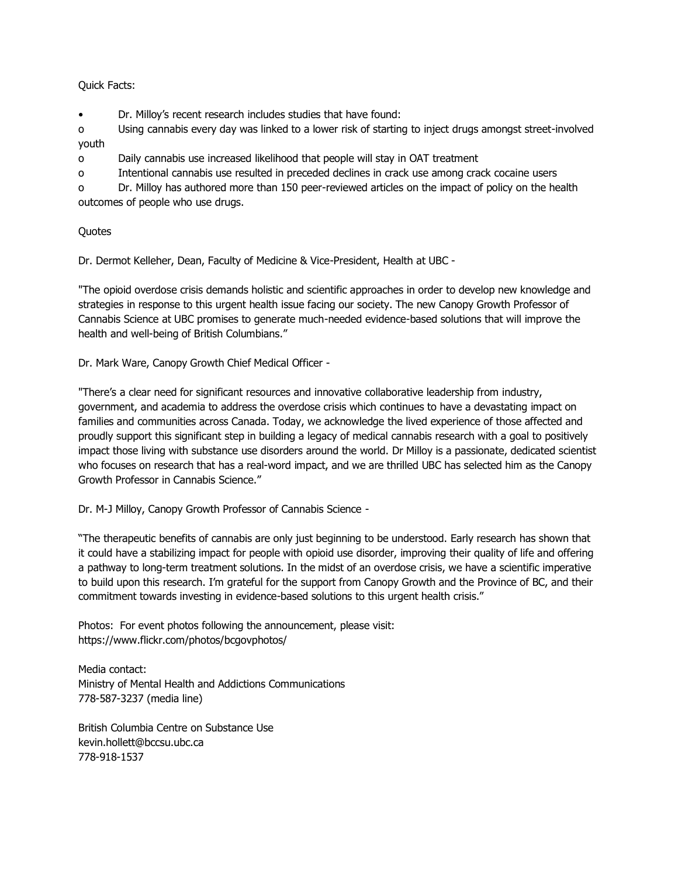### Quick Facts:

• Dr. Milloy's recent research includes studies that have found:

o Using cannabis every day was linked to a lower risk of starting to inject drugs amongst street-involved youth

o Daily cannabis use increased likelihood that people will stay in OAT treatment

o Intentional cannabis use resulted in preceded declines in crack use among crack cocaine users

o Dr. Milloy has authored more than 150 peer-reviewed articles on the impact of policy on the health outcomes of people who use drugs.

## **Quotes**

Dr. Dermot Kelleher, Dean, Faculty of Medicine & Vice-President, Health at UBC -

"The opioid overdose crisis demands holistic and scientific approaches in order to develop new knowledge and strategies in response to this urgent health issue facing our society. The new Canopy Growth Professor of Cannabis Science at UBC promises to generate much-needed evidence-based solutions that will improve the health and well-being of British Columbians."

Dr. Mark Ware, Canopy Growth Chief Medical Officer -

"There's a clear need for significant resources and innovative collaborative leadership from industry, government, and academia to address the overdose crisis which continues to have a devastating impact on families and communities across Canada. Today, we acknowledge the lived experience of those affected and proudly support this significant step in building a legacy of medical cannabis research with a goal to positively impact those living with substance use disorders around the world. Dr Milloy is a passionate, dedicated scientist who focuses on research that has a real-word impact, and we are thrilled UBC has selected him as the Canopy Growth Professor in Cannabis Science."

Dr. M-J Milloy, Canopy Growth Professor of Cannabis Science -

"The therapeutic benefits of cannabis are only just beginning to be understood. Early research has shown that it could have a stabilizing impact for people with opioid use disorder, improving their quality of life and offering a pathway to long-term treatment solutions. In the midst of an overdose crisis, we have a scientific imperative to build upon this research. I'm grateful for the support from Canopy Growth and the Province of BC, and their commitment towards investing in evidence-based solutions to this urgent health crisis."

Photos: For event photos following the announcement, please visit: https://www.flickr.com/photos/bcgovphotos/

Media contact: Ministry of Mental Health and Addictions Communications 778-587-3237 (media line)

British Columbia Centre on Substance Use kevin.hollett@bccsu.ubc.ca 778-918-1537